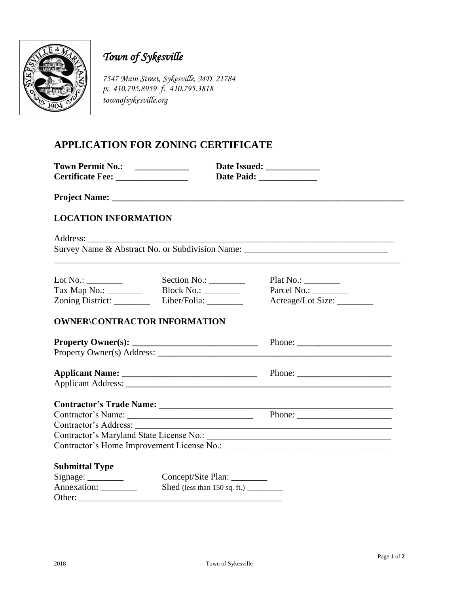

## *Town of Sykesville*

*7547 Main Street, Sykesville, MD 21784 p: 410.795.8959 f: 410.795.3818 townofsykesville.org*

## **APPLICATION FOR ZONING CERTIFICATE**

| <b>Town Permit No.:</b> | Date Issued: |
|-------------------------|--------------|
| <b>Certificate Fee:</b> | Date Paid:   |

**Project Name: \_\_\_\_\_\_\_\_\_\_\_\_\_\_\_\_\_\_\_\_\_\_\_\_\_\_\_\_\_\_\_\_\_\_\_\_\_\_\_\_\_\_\_\_\_\_\_\_\_\_\_\_\_\_\_\_\_\_\_\_\_\_\_\_\_**

## **LOCATION INFORMATION**

Address: \_\_\_\_\_\_\_\_\_\_\_\_\_\_\_\_\_\_\_\_\_\_\_\_\_\_\_\_\_\_\_\_\_\_\_\_\_\_\_\_\_\_\_\_\_\_\_\_\_\_\_\_\_\_\_\_\_\_\_\_\_\_\_\_\_\_\_\_ Survey Name & Abstract No. or Subdivision Name: \_\_\_\_\_\_\_\_\_\_\_\_\_\_\_\_\_\_\_\_\_\_\_\_\_\_\_\_\_\_\_\_

| Lot No.:         | Section No.: | Plat No.:         |
|------------------|--------------|-------------------|
| Tax Map No.:     | Block No.:   | Parcel No.:       |
| Zoning District: | Liber/Folia: | Acreage/Lot Size: |

\_\_\_\_\_\_\_\_\_\_\_\_\_\_\_\_\_\_\_\_\_\_\_\_\_\_\_\_\_\_\_\_\_\_\_\_\_\_\_\_\_\_\_\_\_\_\_\_\_\_\_\_\_\_\_\_\_\_\_\_\_\_\_\_\_\_\_\_\_\_\_\_\_\_\_\_\_

## **OWNER\CONTRACTOR INFORMATION**

|                       |                    | Phone: $\frac{1}{\sqrt{1-\frac{1}{2}}\sqrt{1-\frac{1}{2}}\sqrt{1-\frac{1}{2}}\sqrt{1-\frac{1}{2}}\sqrt{1-\frac{1}{2}}\sqrt{1-\frac{1}{2}}\sqrt{1-\frac{1}{2}}\sqrt{1-\frac{1}{2}}\sqrt{1-\frac{1}{2}}\sqrt{1-\frac{1}{2}}\sqrt{1-\frac{1}{2}}\sqrt{1-\frac{1}{2}}\sqrt{1-\frac{1}{2}}\sqrt{1-\frac{1}{2}}\sqrt{1-\frac{1}{2}}\sqrt{1-\frac{1}{2}}\sqrt{1-\frac{1}{2}}\sqrt{1-\frac{1}{2}}\sqrt{1-\frac{1}{2$ |  |
|-----------------------|--------------------|--------------------------------------------------------------------------------------------------------------------------------------------------------------------------------------------------------------------------------------------------------------------------------------------------------------------------------------------------------------------------------------------------------------|--|
|                       |                    |                                                                                                                                                                                                                                                                                                                                                                                                              |  |
|                       |                    | Phone: $\frac{1}{\sqrt{1-\frac{1}{2}}\sqrt{1-\frac{1}{2}}\sqrt{1-\frac{1}{2}}\sqrt{1-\frac{1}{2}}\sqrt{1-\frac{1}{2}}\sqrt{1-\frac{1}{2}}\sqrt{1-\frac{1}{2}}\sqrt{1-\frac{1}{2}}\sqrt{1-\frac{1}{2}}\sqrt{1-\frac{1}{2}}\sqrt{1-\frac{1}{2}}\sqrt{1-\frac{1}{2}}\sqrt{1-\frac{1}{2}}\sqrt{1-\frac{1}{2}}\sqrt{1-\frac{1}{2}}\sqrt{1-\frac{1}{2}}\sqrt{1-\frac{1}{2}}\sqrt{1-\frac{1}{2}}\sqrt{1-\frac{1}{2$ |  |
|                       |                    |                                                                                                                                                                                                                                                                                                                                                                                                              |  |
|                       |                    |                                                                                                                                                                                                                                                                                                                                                                                                              |  |
|                       |                    |                                                                                                                                                                                                                                                                                                                                                                                                              |  |
|                       |                    |                                                                                                                                                                                                                                                                                                                                                                                                              |  |
|                       |                    |                                                                                                                                                                                                                                                                                                                                                                                                              |  |
|                       |                    |                                                                                                                                                                                                                                                                                                                                                                                                              |  |
| <b>Submittal Type</b> |                    |                                                                                                                                                                                                                                                                                                                                                                                                              |  |
|                       | Concept/Site Plan: |                                                                                                                                                                                                                                                                                                                                                                                                              |  |

| Signage:    | Concept/Site Plan:           |
|-------------|------------------------------|
| Annexation: | Shed (less than 150 sq. ft.) |
| Other:      |                              |